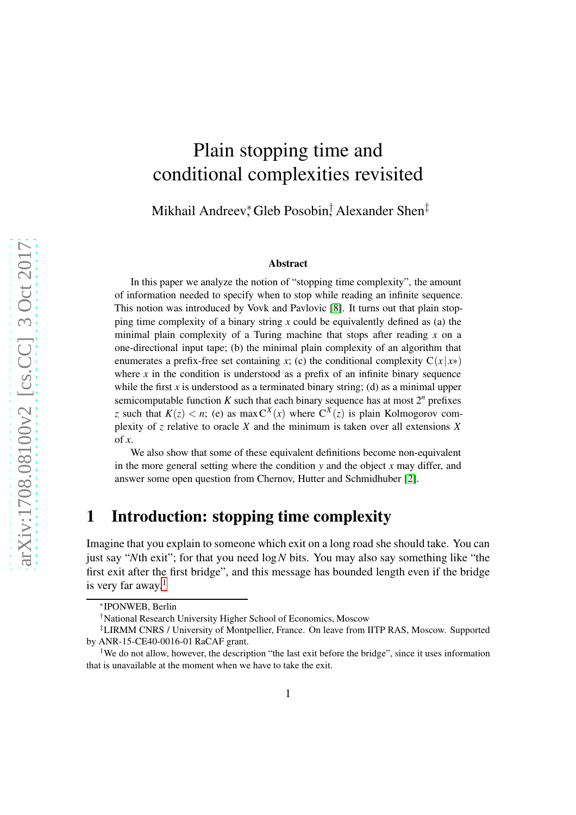# Plain stopping time and conditional complexities revisited

Mikhail Andreev,\* Gleb Posobin,† Alexander Shen<sup>‡</sup>

#### Abstract

In this paper we analyze the notion of "stopping time complexity", the amount of information needed to specify when to stop while reading an infinite sequence. This notion was introduced by Vovk and Pavlovic [\[8\]](#page-23-0). It turns out that plain stopping time complexity of a binary string *x* could be equivalently defined as (a) the minimal plain complexity of a Turing machine that stops after reading *x* on a one-directional input tape; (b) the minimal plain complexity of an algorithm that enumerates a prefix-free set containing *x*; (c) the conditional complexity  $C(x|x*)$ where  $x$  in the condition is understood as a prefix of an infinite binary sequence while the first *x* is understood as a terminated binary string; (d) as a minimal upper semicomputable function  $K$  such that each binary sequence has at most  $2^n$  prefixes *z* such that  $K(z) < n$ ; (e) as max  $C^{X}(x)$  where  $C^{X}(z)$  is plain Kolmogorov complexity of *z* relative to oracle *X* and the minimum is taken over all extensions *X* of *x*.

We also show that some of these equivalent definitions become non-equivalent in the more general setting where the condition *y* and the object *x* may differ, and answer some open question from Chernov, Hutter and Schmidhuber [\[2\]](#page-22-0).

# 1 Introduction: stopping time complexity

Imagine that you explain to someone which exit on a long road she should take. You can just say "*N*th exit"; for that you need log*N* bits. You may also say something like "the first exit after the first bridge", and this message has bounded length even if the bridge is very far away. $<sup>1</sup>$  $<sup>1</sup>$  $<sup>1</sup>$ </sup>

<sup>∗</sup> IPONWEB, Berlin

<sup>†</sup>National Research University Higher School of Economics, Moscow

<sup>‡</sup>LIRMM CNRS / University of Montpellier, France. On leave from IITP RAS, Moscow. Supported by ANR-15-CE40-0016-01 RaCAF grant.

<span id="page-0-0"></span><sup>&</sup>lt;sup>1</sup>We do not allow, however, the description "the last exit before the bridge", since it uses information that is unavailable at the moment when we have to take the exit.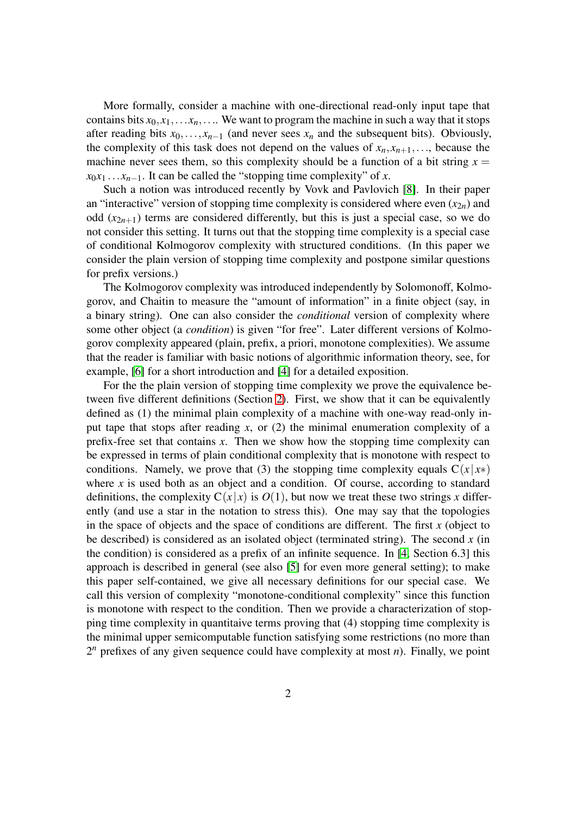More formally, consider a machine with one-directional read-only input tape that contains bits  $x_0, x_1, \ldots, x_n, \ldots$  We want to program the machine in such a way that it stops after reading bits  $x_0$ ,..., $x_{n-1}$  (and never sees  $x_n$  and the subsequent bits). Obviously, the complexity of this task does not depend on the values of  $x_n, x_{n+1}, \ldots$ , because the machine never sees them, so this complexity should be a function of a bit string  $x =$  $x_0x_1 \ldots x_{n-1}$ . It can be called the "stopping time complexity" of *x*.

Such a notion was introduced recently by Vovk and Pavlovich [\[8\]](#page-23-0). In their paper an "interactive" version of stopping time complexity is considered where even  $(x_{2n})$  and odd  $(x_{2n+1})$  terms are considered differently, but this is just a special case, so we do not consider this setting. It turns out that the stopping time complexity is a special case of conditional Kolmogorov complexity with structured conditions. (In this paper we consider the plain version of stopping time complexity and postpone similar questions for prefix versions.)

The Kolmogorov complexity was introduced independently by Solomonoff, Kolmogorov, and Chaitin to measure the "amount of information" in a finite object (say, in a binary string). One can also consider the *conditional* version of complexity where some other object (a *condition*) is given "for free". Later different versions of Kolmogorov complexity appeared (plain, prefix, a priori, monotone complexities). We assume that the reader is familiar with basic notions of algorithmic information theory, see, for example, [\[6\]](#page-23-1) for a short introduction and [\[4\]](#page-23-2) for a detailed exposition.

For the the plain version of stopping time complexity we prove the equivalence between five different definitions (Section [2\)](#page-2-0). First, we show that it can be equivalently defined as (1) the minimal plain complexity of a machine with one-way read-only input tape that stops after reading *x*, or (2) the minimal enumeration complexity of a prefix-free set that contains *x*. Then we show how the stopping time complexity can be expressed in terms of plain conditional complexity that is monotone with respect to conditions. Namely, we prove that (3) the stopping time complexity equals  $C(x|x*)$ where  $x$  is used both as an object and a condition. Of course, according to standard definitions, the complexity  $C(x|x)$  is  $O(1)$ , but now we treat these two strings x differently (and use a star in the notation to stress this). One may say that the topologies in the space of objects and the space of conditions are different. The first *x* (object to be described) is considered as an isolated object (terminated string). The second  $x$  (in the condition) is considered as a prefix of an infinite sequence. In [\[4,](#page-23-2) Section 6.3] this approach is described in general (see also [\[5\]](#page-23-3) for even more general setting); to make this paper self-contained, we give all necessary definitions for our special case. We call this version of complexity "monotone-conditional complexity" since this function is monotone with respect to the condition. Then we provide a characterization of stopping time complexity in quantitaive terms proving that (4) stopping time complexity is the minimal upper semicomputable function satisfying some restrictions (no more than 2 *<sup>n</sup>* prefixes of any given sequence could have complexity at most *n*). Finally, we point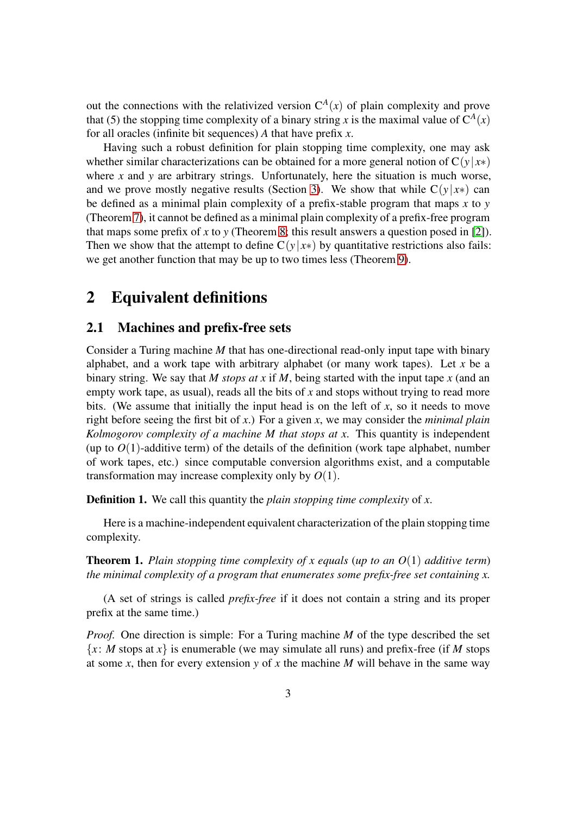out the connections with the relativized version  $C<sup>A</sup>(x)$  of plain complexity and prove that (5) the stopping time complexity of a binary string *x* is the maximal value of  $C^A(x)$ for all oracles (infinite bit sequences) *A* that have prefix *x*.

Having such a robust definition for plain stopping time complexity, one may ask whether similar characterizations can be obtained for a more general notion of  $C(y|x*)$ where *x* and *y* are arbitrary strings. Unfortunately, here the situation is much worse, and we prove mostly negative results (Section [3\)](#page-11-0). We show that while  $C(y|x*)$  can be defined as a minimal plain complexity of a prefix-stable program that maps *x* to *y* (Theorem [7\)](#page-12-0), it cannot be defined as a minimal plain complexity of a prefix-free program that maps some prefix of  $x$  to  $y$  (Theorem [8;](#page-12-1) this result answers a question posed in [\[2\]](#page-22-0)). Then we show that the attempt to define  $C(y|x*)$  by quantitative restrictions also fails: we get another function that may be up to two times less (Theorem [9\)](#page-15-0).

# <span id="page-2-0"></span>2 Equivalent definitions

### 2.1 Machines and prefix-free sets

Consider a Turing machine *M* that has one-directional read-only input tape with binary alphabet, and a work tape with arbitrary alphabet (or many work tapes). Let *x* be a binary string. We say that *M stops at x* if *M*, being started with the input tape *x* (and an empty work tape, as usual), reads all the bits of *x* and stops without trying to read more bits. (We assume that initially the input head is on the left of *x*, so it needs to move right before seeing the first bit of *x*.) For a given *x*, we may consider the *minimal plain Kolmogorov complexity of a machine M that stops at x*. This quantity is independent (up to  $O(1)$ -additive term) of the details of the definition (work tape alphabet, number of work tapes, etc.) since computable conversion algorithms exist, and a computable transformation may increase complexity only by *O*(1).

<span id="page-2-1"></span>Definition 1. We call this quantity the *plain stopping time complexity* of *x*.

Here is a machine-independent equivalent characterization of the plain stopping time complexity.

Theorem 1. *Plain stopping time complexity of x equals* (*up to an O*(1) *additive term*) *the minimal complexity of a program that enumerates some prefix-free set containing x.*

(A set of strings is called *prefix-free* if it does not contain a string and its proper prefix at the same time.)

*Proof.* One direction is simple: For a Turing machine *M* of the type described the set  ${x: M$  stops at *x* is enumerable (we may simulate all runs) and prefix-free (if *M* stops at some *x*, then for every extension *y* of *x* the machine *M* will behave in the same way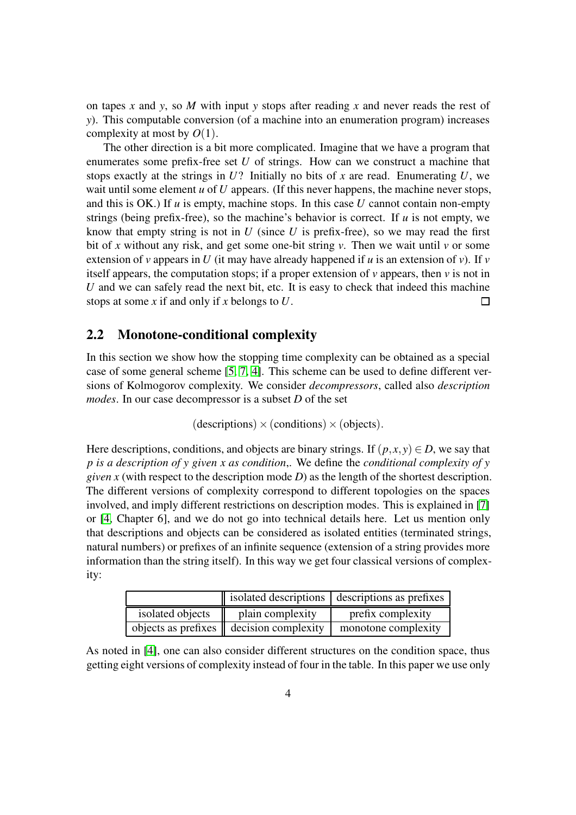on tapes *x* and *y*, so *M* with input *y* stops after reading *x* and never reads the rest of *y*). This computable conversion (of a machine into an enumeration program) increases complexity at most by *O*(1).

The other direction is a bit more complicated. Imagine that we have a program that enumerates some prefix-free set *U* of strings. How can we construct a machine that stops exactly at the strings in  $U$ ? Initially no bits of x are read. Enumerating  $U$ , we wait until some element *u* of *U* appears. (If this never happens, the machine never stops, and this is OK.) If *u* is empty, machine stops. In this case *U* cannot contain non-empty strings (being prefix-free), so the machine's behavior is correct. If  $u$  is not empty, we know that empty string is not in  $U$  (since  $U$  is prefix-free), so we may read the first bit of *x* without any risk, and get some one-bit string *v*. Then we wait until *v* or some extension of *v* appears in *U* (it may have already happened if *u* is an extension of *v*). If *v* itself appears, the computation stops; if a proper extension of *v* appears, then *v* is not in *U* and we can safely read the next bit, etc. It is easy to check that indeed this machine stops at some *x* if and only if *x* belongs to *U*.  $\Box$ 

### <span id="page-3-0"></span>2.2 Monotone-conditional complexity

In this section we show how the stopping time complexity can be obtained as a special case of some general scheme [\[5,](#page-23-3) [7,](#page-23-4) [4\]](#page-23-2). This scheme can be used to define different versions of Kolmogorov complexity. We consider *decompressors*, called also *description modes*. In our case decompressor is a subset *D* of the set

 $(descriptions) \times (conditions) \times (objects).$ 

Here descriptions, conditions, and objects are binary strings. If  $(p, x, y) \in D$ , we say that *p is a description of y given x as condition*,. We define the *conditional complexity of y given x* (with respect to the description mode *D*) as the length of the shortest description. The different versions of complexity correspond to different topologies on the spaces involved, and imply different restrictions on description modes. This is explained in [\[7\]](#page-23-4) or [\[4,](#page-23-2) Chapter 6], and we do not go into technical details here. Let us mention only that descriptions and objects can be considered as isolated entities (terminated strings, natural numbers) or prefixes of an infinite sequence (extension of a string provides more information than the string itself). In this way we get four classical versions of complexity:

|                  |                                                     | isolated descriptions   descriptions as prefixes |
|------------------|-----------------------------------------------------|--------------------------------------------------|
| isolated objects | plain complexity                                    | prefix complexity                                |
|                  | objects as prefixes $\parallel$ decision complexity | monotone complexity                              |

As noted in [\[4\]](#page-23-2), one can also consider different structures on the condition space, thus getting eight versions of complexity instead of four in the table. In this paper we use only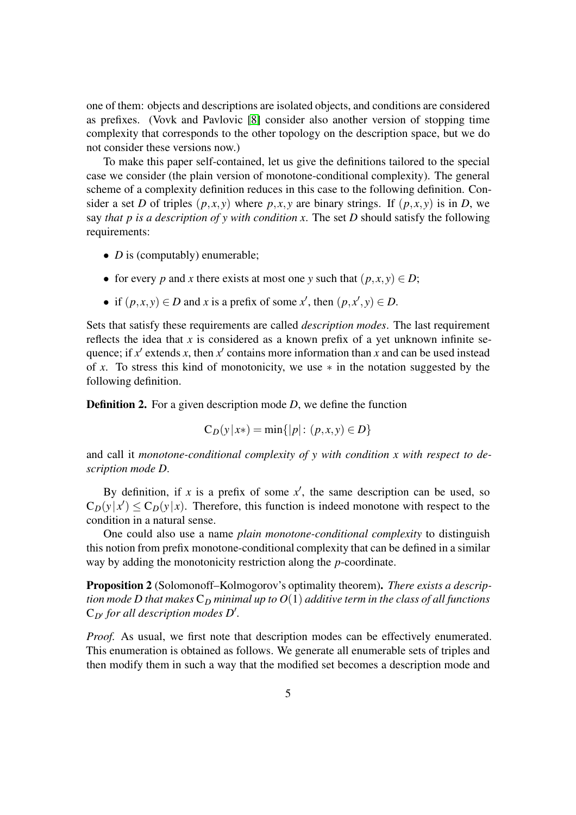one of them: objects and descriptions are isolated objects, and conditions are considered as prefixes. (Vovk and Pavlovic [\[8\]](#page-23-0) consider also another version of stopping time complexity that corresponds to the other topology on the description space, but we do not consider these versions now.)

To make this paper self-contained, let us give the definitions tailored to the special case we consider (the plain version of monotone-conditional complexity). The general scheme of a complexity definition reduces in this case to the following definition. Consider a set *D* of triples  $(p, x, y)$  where  $p, x, y$  are binary strings. If  $(p, x, y)$  is in *D*, we say *that p is a description of y with condition x*. The set *D* should satisfy the following requirements:

- *D* is (computably) enumerable;
- for every *p* and *x* there exists at most one *y* such that  $(p, x, y) \in D$ ;
- if  $(p, x, y) \in D$  and *x* is a prefix of some *x*<sup>'</sup>, then  $(p, x^{\prime}, y) \in D$ .

Sets that satisfy these requirements are called *description modes*. The last requirement reflects the idea that  $x$  is considered as a known prefix of a yet unknown infinite sequence; if  $x'$  extends x, then  $x'$  contains more information than x and can be used instead of *x*. To stress this kind of monotonicity, we use ∗ in the notation suggested by the following definition.

**Definition 2.** For a given description mode *D*, we define the function

$$
C_D(y|x*) = \min\{|p| : (p, x, y) \in D\}
$$

and call it *monotone-conditional complexity of y with condition x with respect to description mode D*.

By definition, if x is a prefix of some  $x'$ , the same description can be used, so  $C_D(y|x') \leq C_D(y|x)$ . Therefore, this function is indeed monotone with respect to the condition in a natural sense.

One could also use a name *plain monotone-conditional complexity* to distinguish this notion from prefix monotone-conditional complexity that can be defined in a similar way by adding the monotonicity restriction along the *p*-coordinate.

<span id="page-4-0"></span>Proposition 2 (Solomonoff–Kolmogorov's optimality theorem). *There exists a description mode D that makes*  $C_D$  *minimal up to*  $O(1)$  *additive term in the class of all functions* C*D*′ *for all description modes D*′ *.*

*Proof.* As usual, we first note that description modes can be effectively enumerated. This enumeration is obtained as follows. We generate all enumerable sets of triples and then modify them in such a way that the modified set becomes a description mode and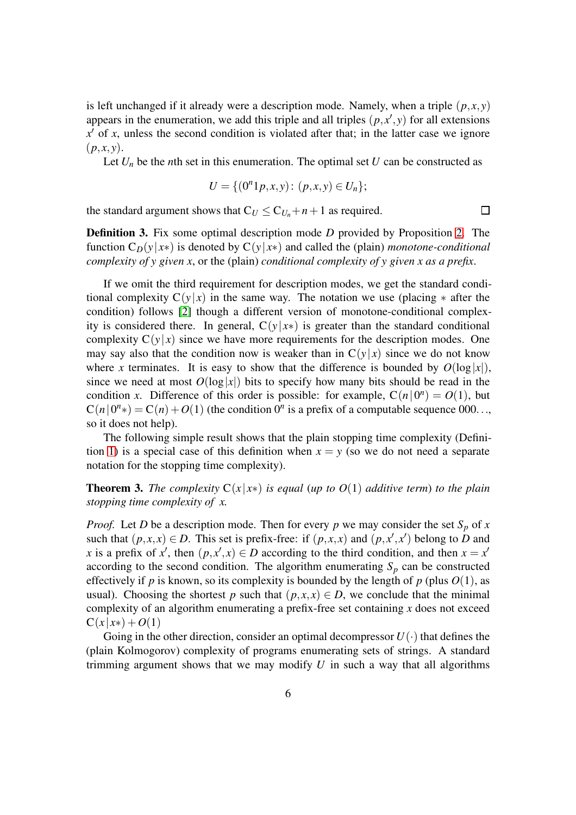is left unchanged if it already were a description mode. Namely, when a triple  $(p, x, y)$ appears in the enumeration, we add this triple and all triples  $(p, x', y)$  for all extensions  $x'$  of  $x$ , unless the second condition is violated after that; in the latter case we ignore  $(p, x, y)$ .

Let  $U_n$  be the *n*th set in this enumeration. The optimal set  $U$  can be constructed as

$$
U = \{ (0^n1p, x, y) : (p, x, y) \in U_n \};
$$

 $\Box$ 

the standard argument shows that  $C_U \leq C_{U_n} + n + 1$  as required.

<span id="page-5-0"></span>Definition 3. Fix some optimal description mode *D* provided by Proposition [2.](#page-4-0) The function  $C_D(y|x*)$  is denoted by  $C(y|x*)$  and called the (plain) *monotone-conditional complexity of y given x*, or the (plain) *conditional complexity of y given x as a prefix*.

If we omit the third requirement for description modes, we get the standard conditional complexity  $C(y|x)$  in the same way. The notation we use (placing  $*$  after the condition) follows [\[2\]](#page-22-0) though a different version of monotone-conditional complexity is considered there. In general,  $C(y|x*)$  is greater than the standard conditional complexity  $C(y|x)$  since we have more requirements for the description modes. One may say also that the condition now is weaker than in  $C(y|x)$  since we do not know where *x* terminates. It is easy to show that the difference is bounded by  $O(\log|x|)$ , since we need at most  $O(\log|x|)$  bits to specify how many bits should be read in the condition *x*. Difference of this order is possible: for example,  $C(n|0^n) = O(1)$ , but  $C(n|0<sup>n</sup>) = C(n) + O(1)$  (the condition 0<sup>*n*</sup> is a prefix of a computable sequence 000..., so it does not help).

The following simple result shows that the plain stopping time complexity (Defini-tion [1\)](#page-2-1) is a special case of this definition when  $x = y$  (so we do not need a separate notation for the stopping time complexity).

<span id="page-5-1"></span>**Theorem 3.** *The complexity*  $C(x|x*)$  *is equal (up to O(1) additive term) to the plain stopping time complexity of x.*

*Proof.* Let *D* be a description mode. Then for every *p* we may consider the set  $S_p$  of *x* such that  $(p, x, x) \in D$ . This set is prefix-free: if  $(p, x, x)$  and  $(p, x', x')$  belong to *D* and *x* is a prefix of *x*<sup>'</sup>, then  $(p, x^{\prime}, x) \in D$  according to the third condition, and then  $x = x^{\prime}$ according to the second condition. The algorithm enumerating  $S_p$  can be constructed effectively if *p* is known, so its complexity is bounded by the length of *p* (plus  $O(1)$ , as usual). Choosing the shortest *p* such that  $(p, x, x) \in D$ , we conclude that the minimal complexity of an algorithm enumerating a prefix-free set containing *x* does not exceed  $C(x|x*) + O(1)$ 

Going in the other direction, consider an optimal decompressor  $U(\cdot)$  that defines the (plain Kolmogorov) complexity of programs enumerating sets of strings. A standard trimming argument shows that we may modify *U* in such a way that all algorithms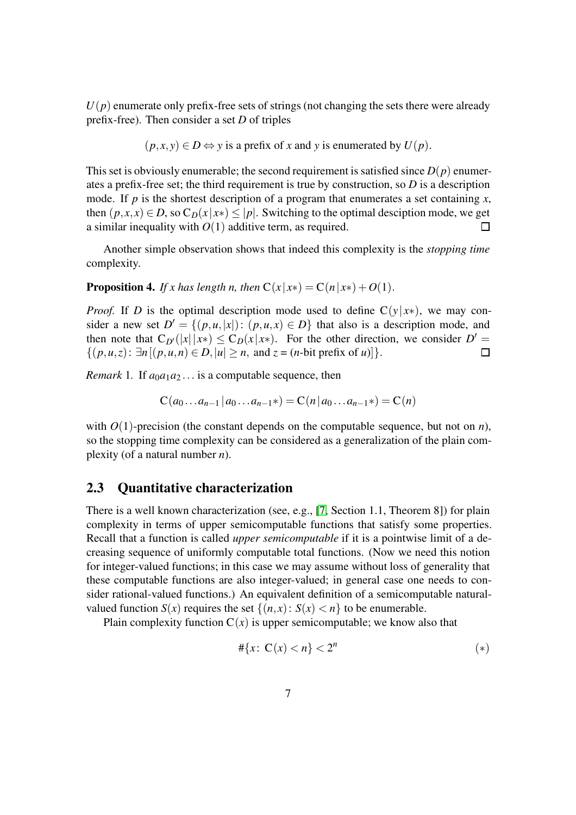$U(p)$  enumerate only prefix-free sets of strings (not changing the sets there were already prefix-free). Then consider a set *D* of triples

$$
(p, x, y) \in D \Leftrightarrow y
$$
 is a prefix of x and y is enumerated by  $U(p)$ .

This set is obviously enumerable; the second requirement is satisfied since  $D(p)$  enumerates a prefix-free set; the third requirement is true by construction, so *D* is a description mode. If *p* is the shortest description of a program that enumerates a set containing *x*, then  $(p, x, x) \in D$ , so  $C_D(x|x*) \leq |p|$ . Switching to the optimal desciption mode, we get a similar inequality with  $O(1)$  additive term, as required.  $\Box$ 

Another simple observation shows that indeed this complexity is the *stopping time* complexity.

**Proposition 4.** *If x has length n, then*  $C(x|x*) = C(n|x*) + O(1)$ .

*Proof.* If *D* is the optimal description mode used to define  $C(y|x*)$ , we may consider a new set  $D' = \{(p, u, |x|): (p, u, x) \in D\}$  that also is a description mode, and then note that  $C_{D'}(|x||x*) \leq C_D(x|x*)$ . For the other direction, we consider  $D' =$  $\{(p, u, z): \exists n [(p, u, n) \in D, |u| \ge n, \text{ and } z = (n\text{-bit prefix of } u)]\}.$  $\Box$ 

*Remark* 1. If  $a_0a_1a_2...$  is a computable sequence, then

$$
C(a_0...a_{n-1} | a_0...a_{n-1}*) = C(n | a_0...a_{n-1}*) = C(n)
$$

with  $O(1)$ -precision (the constant depends on the computable sequence, but not on *n*), so the stopping time complexity can be considered as a generalization of the plain complexity (of a natural number *n*).

### <span id="page-6-0"></span>2.3 Quantitative characterization

There is a well known characterization (see, e.g., [\[7,](#page-23-4) Section 1.1, Theorem 8]) for plain complexity in terms of upper semicomputable functions that satisfy some properties. Recall that a function is called *upper semicomputable* if it is a pointwise limit of a decreasing sequence of uniformly computable total functions. (Now we need this notion for integer-valued functions; in this case we may assume without loss of generality that these computable functions are also integer-valued; in general case one needs to consider rational-valued functions.) An equivalent definition of a semicomputable naturalvalued function  $S(x)$  requires the set  $\{(n, x): S(x) < n\}$  to be enumerable.

Plain complexity function  $C(x)$  is upper semicomputable; we know also that

$$
\#\{x\colon\mathbf{C}(x)< n\}<2^n\tag{*}
$$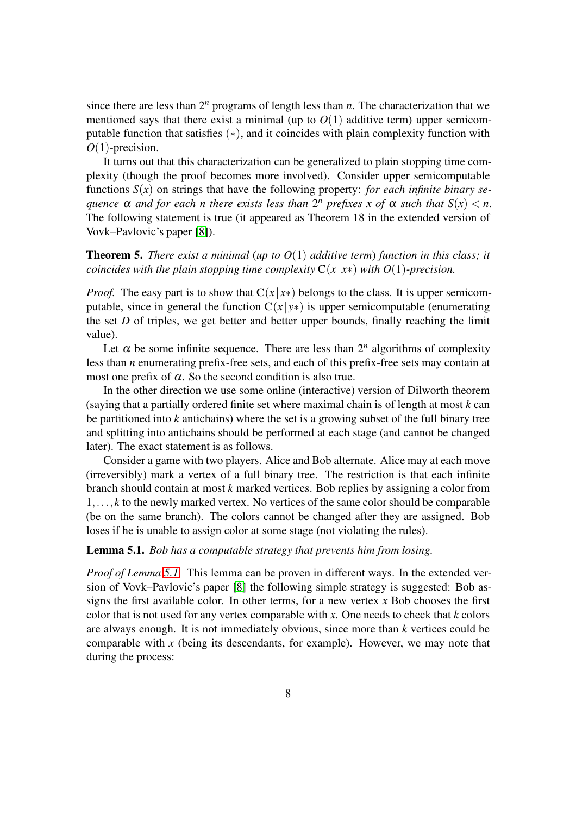since there are less than  $2^n$  programs of length less than  $n$ . The characterization that we mentioned says that there exist a minimal (up to  $O(1)$  additive term) upper semicomputable function that satisfies (∗), and it coincides with plain complexity function with *O*(1)-precision.

It turns out that this characterization can be generalized to plain stopping time complexity (though the proof becomes more involved). Consider upper semicomputable functions  $S(x)$  on strings that have the following property: *for each infinite binary sequence*  $\alpha$  *and for each n there exists less than*  $2^n$  *prefixes x of*  $\alpha$  *such that*  $S(x) < n$ . The following statement is true (it appeared as Theorem 18 in the extended version of Vovk–Pavlovic's paper [\[8\]](#page-23-0)).

#### <span id="page-7-1"></span>Theorem 5. *There exist a minimal* (*up to O*(1) *additive term*) *function in this class; it coincides with the plain stopping time complexity*  $C(x|x*)$  *with*  $O(1)$ -precision.

*Proof.* The easy part is to show that  $C(x|x*)$  belongs to the class. It is upper semicomputable, since in general the function  $C(x|y*)$  is upper semicomputable (enumerating the set *D* of triples, we get better and better upper bounds, finally reaching the limit value).

Let  $\alpha$  be some infinite sequence. There are less than  $2^n$  algorithms of complexity less than *n* enumerating prefix-free sets, and each of this prefix-free sets may contain at most one prefix of  $\alpha$ . So the second condition is also true.

In the other direction we use some online (interactive) version of Dilworth theorem (saying that a partially ordered finite set where maximal chain is of length at most *k* can be partitioned into *k* antichains) where the set is a growing subset of the full binary tree and splitting into antichains should be performed at each stage (and cannot be changed later). The exact statement is as follows.

Consider a game with two players. Alice and Bob alternate. Alice may at each move (irreversibly) mark a vertex of a full binary tree. The restriction is that each infinite branch should contain at most *k* marked vertices. Bob replies by assigning a color from 1,..., *k* to the newly marked vertex. No vertices of the same color should be comparable (be on the same branch). The colors cannot be changed after they are assigned. Bob loses if he is unable to assign color at some stage (not violating the rules).

#### <span id="page-7-0"></span>Lemma 5.1. *Bob has a computable strategy that prevents him from losing.*

*Proof of Lemma [5.1.](#page-7-0)* This lemma can be proven in different ways. In the extended version of Vovk–Pavlovic's paper [\[8\]](#page-23-0) the following simple strategy is suggested: Bob assigns the first available color. In other terms, for a new vertex *x* Bob chooses the first color that is not used for any vertex comparable with *x*. One needs to check that *k* colors are always enough. It is not immediately obvious, since more than *k* vertices could be comparable with *x* (being its descendants, for example). However, we may note that during the process: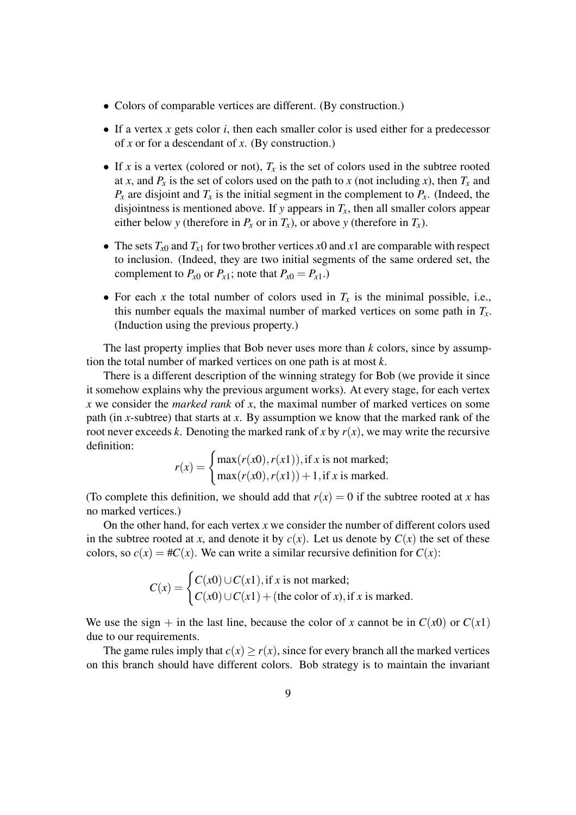- Colors of comparable vertices are different. (By construction.)
- If a vertex *x* gets color *i*, then each smaller color is used either for a predecessor of *x* or for a descendant of *x*. (By construction.)
- If *x* is a vertex (colored or not),  $T_x$  is the set of colors used in the subtree rooted at *x*, and  $P_x$  is the set of colors used on the path to *x* (not including *x*), then  $T_x$  and  $P_x$  are disjoint and  $T_x$  is the initial segment in the complement to  $P_x$ . (Indeed, the disjointness is mentioned above. If *y* appears in  $T_x$ , then all smaller colors appear either below *y* (therefore in  $P_x$  or in  $T_x$ ), or above *y* (therefore in  $T_x$ ).
- The sets  $T_{x0}$  and  $T_{x1}$  for two brother vertices  $x0$  and  $x1$  are comparable with respect to inclusion. (Indeed, they are two initial segments of the same ordered set, the complement to  $P_{x0}$  or  $P_{x1}$ ; note that  $P_{x0} = P_{x1}$ .)
- For each *x* the total number of colors used in  $T_x$  is the minimal possible, i.e., this number equals the maximal number of marked vertices on some path in  $T_x$ . (Induction using the previous property.)

The last property implies that Bob never uses more than *k* colors, since by assumption the total number of marked vertices on one path is at most *k*.

There is a different description of the winning strategy for Bob (we provide it since it somehow explains why the previous argument works). At every stage, for each vertex *x* we consider the *marked rank* of *x*, the maximal number of marked vertices on some path (in *x*-subtree) that starts at *x*. By assumption we know that the marked rank of the root never exceeds *k*. Denoting the marked rank of *x* by  $r(x)$ , we may write the recursive definition:

$$
r(x) = \begin{cases} \max(r(x0), r(x1)), \text{if } x \text{ is not marked;} \\ \max(r(x0), r(x1)) + 1, \text{if } x \text{ is marked.} \end{cases}
$$

(To complete this definition, we should add that  $r(x) = 0$  if the subtree rooted at *x* has no marked vertices.)

On the other hand, for each vertex *x* we consider the number of different colors used in the subtree rooted at *x*, and denote it by  $c(x)$ . Let us denote by  $C(x)$  the set of these colors, so  $c(x) = \#C(x)$ . We can write a similar recursive definition for  $C(x)$ :

$$
C(x) = \begin{cases} C(x0) \cup C(x1), \text{if } x \text{ is not marked;} \\ C(x0) \cup C(x1) + (\text{the color of } x), \text{if } x \text{ is marked.} \end{cases}
$$

We use the sign + in the last line, because the color of *x* cannot be in  $C(x0)$  or  $C(x1)$ due to our requirements.

The game rules imply that  $c(x) \ge r(x)$ , since for every branch all the marked vertices on this branch should have different colors. Bob strategy is to maintain the invariant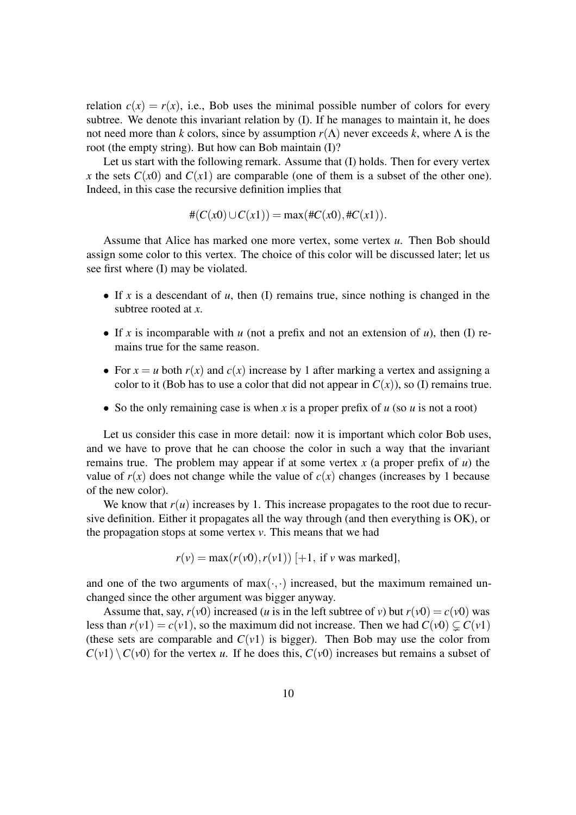relation  $c(x) = r(x)$ , i.e., Bob uses the minimal possible number of colors for every subtree. We denote this invariant relation by (I). If he manages to maintain it, he does not need more than *k* colors, since by assumption  $r(\Lambda)$  never exceeds *k*, where  $\Lambda$  is the root (the empty string). But how can Bob maintain (I)?

Let us start with the following remark. Assume that (I) holds. Then for every vertex *x* the sets  $C(x_0)$  and  $C(x_1)$  are comparable (one of them is a subset of the other one). Indeed, in this case the recursive definition implies that

$$
#(C(x0) \cup C(x1)) = \max(\#C(x0), \#C(x1)).
$$

Assume that Alice has marked one more vertex, some vertex *u*. Then Bob should assign some color to this vertex. The choice of this color will be discussed later; let us see first where (I) may be violated.

- If *x* is a descendant of *u*, then (I) remains true, since nothing is changed in the subtree rooted at *x*.
- If *x* is incomparable with *u* (not a prefix and not an extension of *u*), then (I) remains true for the same reason.
- For  $x = u$  both  $r(x)$  and  $c(x)$  increase by 1 after marking a vertex and assigning a color to it (Bob has to use a color that did not appear in  $C(x)$ ), so (I) remains true.
- So the only remaining case is when *x* is a proper prefix of *u* (so *u* is not a root)

Let us consider this case in more detail: now it is important which color Bob uses, and we have to prove that he can choose the color in such a way that the invariant remains true. The problem may appear if at some vertex *x* (a proper prefix of *u*) the value of  $r(x)$  does not change while the value of  $c(x)$  changes (increases by 1 because of the new color).

We know that  $r(u)$  increases by 1. This increase propagates to the root due to recursive definition. Either it propagates all the way through (and then everything is OK), or the propagation stops at some vertex *v*. This means that we had

$$
r(v) = \max(r(v0), r(v1)) \, [+1, \text{ if } v \text{ was marked}],
$$

and one of the two arguments of  $max(\cdot, \cdot)$  increased, but the maximum remained unchanged since the other argument was bigger anyway.

Assume that, say,  $r(v0)$  increased (*u* is in the left subtree of *v*) but  $r(v0) = c(v0)$  was less than  $r(v1) = c(v1)$ , so the maximum did not increase. Then we had  $C(v0) \subset C(v1)$ (these sets are comparable and  $C(v1)$  is bigger). Then Bob may use the color from  $C(v1) \setminus C(v0)$  for the vertex *u*. If he does this,  $C(v0)$  increases but remains a subset of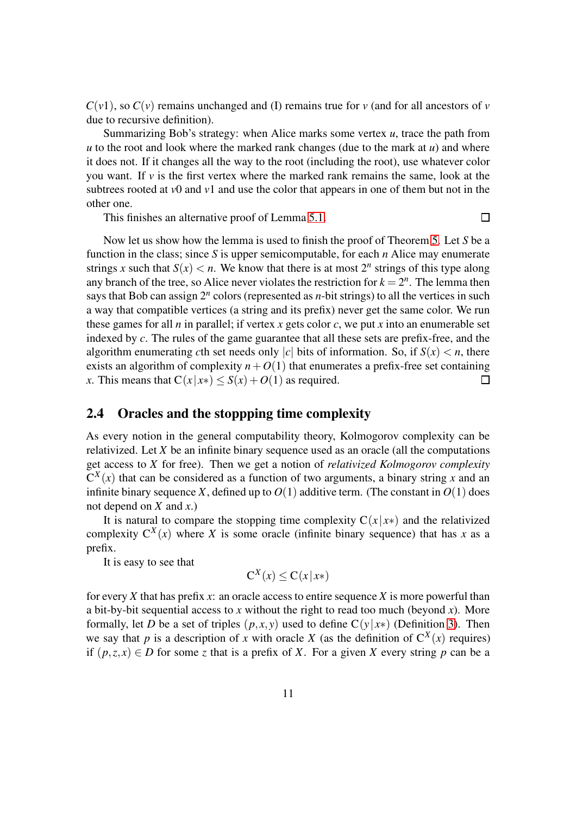$C(v1)$ , so  $C(v)$  remains unchanged and (I) remains true for *v* (and for all ancestors of *v* due to recursive definition).

Summarizing Bob's strategy: when Alice marks some vertex *u*, trace the path from *u* to the root and look where the marked rank changes (due to the mark at *u*) and where it does not. If it changes all the way to the root (including the root), use whatever color you want. If  $\nu$  is the first vertex where the marked rank remains the same, look at the subtrees rooted at *v*0 and *v*1 and use the color that appears in one of them but not in the other one.

This finishes an alternative proof of Lemma [5.1.](#page-7-0)

Now let us show how the lemma is used to finish the proof of Theorem [5.](#page-7-1) Let *S* be a function in the class; since *S* is upper semicomputable, for each *n* Alice may enumerate strings *x* such that  $S(x) < n$ . We know that there is at most  $2^n$  strings of this type along any branch of the tree, so Alice never violates the restriction for  $k = 2<sup>n</sup>$ . The lemma then says that Bob can assign 2*<sup>n</sup>* colors (represented as *n*-bit strings) to all the vertices in such a way that compatible vertices (a string and its prefix) never get the same color. We run these games for all *n* in parallel; if vertex *x* gets color *c*, we put *x* into an enumerable set indexed by *c*. The rules of the game guarantee that all these sets are prefix-free, and the algorithm enumerating *c*th set needs only |*c*| bits of information. So, if  $S(x) < n$ , there exists an algorithm of complexity  $n+O(1)$  that enumerates a prefix-free set containing *x*. This means that  $C(x|x*) \leq S(x) + O(1)$  as required.  $\Box$ 

### 2.4 Oracles and the stoppping time complexity

As every notion in the general computability theory, Kolmogorov complexity can be relativized. Let *X* be an infinite binary sequence used as an oracle (all the computations get access to *X* for free). Then we get a notion of *relativized Kolmogorov complexity*  $C^{X}(x)$  that can be considered as a function of two arguments, a binary string *x* and an infinite binary sequence *X*, defined up to  $O(1)$  additive term. (The constant in  $O(1)$  does not depend on *X* and *x*.)

It is natural to compare the stopping time complexity  $C(x|x*)$  and the relativized complexity  $C^X(x)$  where *X* is some oracle (infinite binary sequence) that has *x* as a prefix.

It is easy to see that

$$
C^X(x) \le C(x|x*)
$$

for every *X* that has prefix *x*: an oracle access to entire sequence *X* is more powerful than a bit-by-bit sequential access to x without the right to read too much (beyond x). More formally, let *D* be a set of triples  $(p, x, y)$  used to define  $C(y|x*)$  (Definition [3\)](#page-5-0). Then we say that *p* is a description of *x* with oracle *X* (as the definition of  $C^{X}(x)$  requires) if  $(p, z, x)$  ∈ *D* for some *z* that is a prefix of *X*. For a given *X* every string *p* can be a

 $\Box$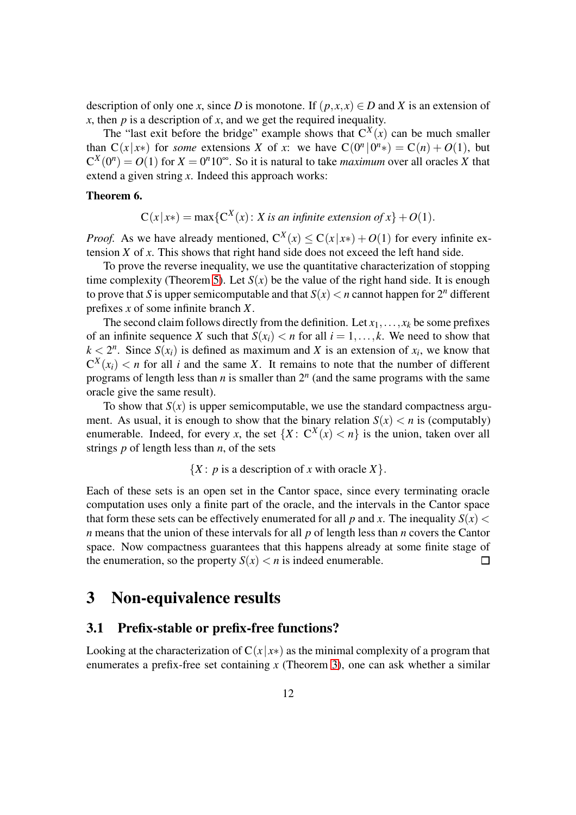description of only one *x*, since *D* is monotone. If  $(p, x, x) \in D$  and *X* is an extension of *x*, then *p* is a description of *x*, and we get the required inequality.

The "last exit before the bridge" example shows that  $C^X(x)$  can be much smaller than  $C(x|x*)$  for *some* extensions *X* of *x*: we have  $C(0^n | 0^n*) = C(n) + O(1)$ , but  $C^{X}(0^n) = O(1)$  for  $X = 0^n 10^\infty$ . So it is natural to take *maximum* over all oracles X that extend a given string *x*. Indeed this approach works:

#### Theorem 6.

 $C(x|x*) = \max{C^X(x) : X \text{ is an infinite extension of } x} + O(1).$ 

*Proof.* As we have already mentioned,  $C^X(x) \leq C(x|x^*) + O(1)$  for every infinite extension *X* of *x*. This shows that right hand side does not exceed the left hand side.

To prove the reverse inequality, we use the quantitative characterization of stopping time complexity (Theorem [5\)](#page-7-1). Let  $S(x)$  be the value of the right hand side. It is enough to prove that *S* is upper semicomputable and that  $S(x) < n$  cannot happen for  $2^n$  different prefixes *x* of some infinite branch *X*.

The second claim follows directly from the definition. Let  $x_1, \ldots, x_k$  be some prefixes of an infinite sequence *X* such that  $S(x_i) < n$  for all  $i = 1, \ldots, k$ . We need to show that  $k < 2^n$ . Since  $S(x_i)$  is defined as maximum and *X* is an extension of  $x_i$ , we know that  $C^X(x_i)$  < *n* for all *i* and the same *X*. It remains to note that the number of different programs of length less than *n* is smaller than 2*<sup>n</sup>* (and the same programs with the same oracle give the same result).

To show that  $S(x)$  is upper semicomputable, we use the standard compactness argument. As usual, it is enough to show that the binary relation  $S(x) < n$  is (computably) enumerable. Indeed, for every *x*, the set  $\{X: C^X(x) < n\}$  is the union, taken over all strings *p* of length less than *n*, of the sets

 ${X : p$  is a description of *x* with oracle *X* $}.$ 

Each of these sets is an open set in the Cantor space, since every terminating oracle computation uses only a finite part of the oracle, and the intervals in the Cantor space that form these sets can be effectively enumerated for all p and x. The inequality  $S(x)$  < *n* means that the union of these intervals for all *p* of length less than *n* covers the Cantor space. Now compactness guarantees that this happens already at some finite stage of  $\Box$ the enumeration, so the property  $S(x) < n$  is indeed enumerable.

# <span id="page-11-0"></span>3 Non-equivalence results

#### 3.1 Prefix-stable or prefix-free functions?

Looking at the characterization of  $C(x|x*)$  as the minimal complexity of a program that enumerates a prefix-free set containing *x* (Theorem [3\)](#page-5-1), one can ask whether a similar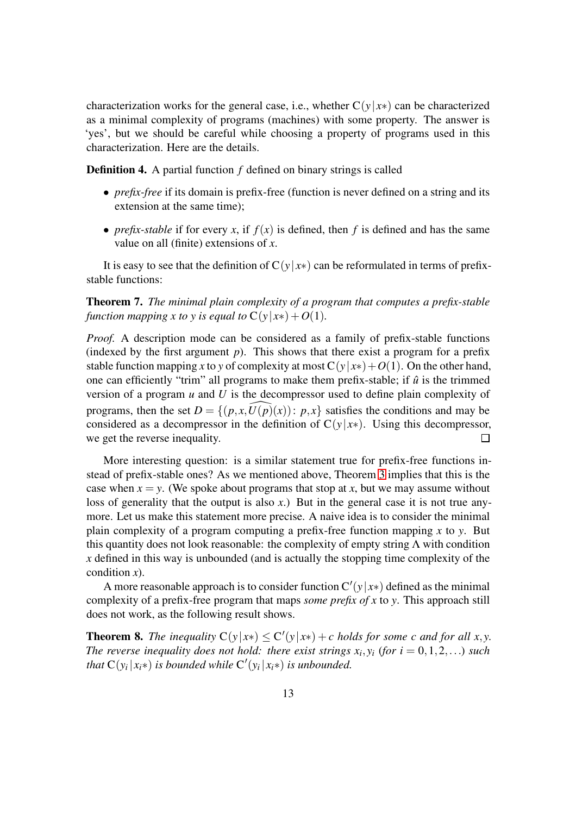characterization works for the general case, i.e., whether  $C(y|x*)$  can be characterized as a minimal complexity of programs (machines) with some property. The answer is 'yes', but we should be careful while choosing a property of programs used in this characterization. Here are the details.

Definition 4. A partial function *f* defined on binary strings is called

- *prefix-free* if its domain is prefix-free (function is never defined on a string and its extension at the same time);
- *prefix-stable* if for every *x*, if  $f(x)$  is defined, then *f* is defined and has the same value on all (finite) extensions of *x*.

It is easy to see that the definition of  $C(y|x*)$  can be reformulated in terms of prefixstable functions:

<span id="page-12-0"></span>Theorem 7. *The minimal plain complexity of a program that computes a prefix-stable function mapping x to y is equal to*  $C(y|x*) + O(1)$ *.* 

*Proof.* A description mode can be considered as a family of prefix-stable functions (indexed by the first argument *p*). This shows that there exist a program for a prefix stable function mapping *x* to *y* of complexity at most  $C(y|x*) + O(1)$ . On the other hand, one can efficiently "trim" all programs to make them prefix-stable; if  $\hat{u}$  is the trimmed version of a program *u* and *U* is the decompressor used to define plain complexity of programs, then the set  $D = \{(p, x, U(p)(x)) : p, x\}$  satisfies the conditions and may be considered as a decompressor in the definition of  $C(y|x*)$ . Using this decompressor, we get the reverse inequality.  $\Box$ 

More interesting question: is a similar statement true for prefix-free functions instead of prefix-stable ones? As we mentioned above, Theorem [3](#page-5-1) implies that this is the case when  $x = y$ . (We spoke about programs that stop at x, but we may assume without loss of generality that the output is also x.) But in the general case it is not true anymore. Let us make this statement more precise. A naive idea is to consider the minimal plain complexity of a program computing a prefix-free function mapping *x* to *y*. But this quantity does not look reasonable: the complexity of empty string  $\Lambda$  with condition *x* defined in this way is unbounded (and is actually the stopping time complexity of the condition *x*).

A more reasonable approach is to consider function  $C'(y|x*)$  defined as the minimal complexity of a prefix-free program that maps *some prefix of x* to *y*. This approach still does not work, as the following result shows.

<span id="page-12-1"></span>**Theorem 8.** The inequality  $C(y|x*) \leq C'(y|x*) + c$  holds for some c and for all x,y. *The reverse inequality does not hold: there exist strings*  $x_i, y_i$  (for  $i = 0, 1, 2, \ldots$ ) such *that*  $C(y_i|x_i*)$  *is bounded while*  $C'(y_i|x_i*)$  *is unbounded.*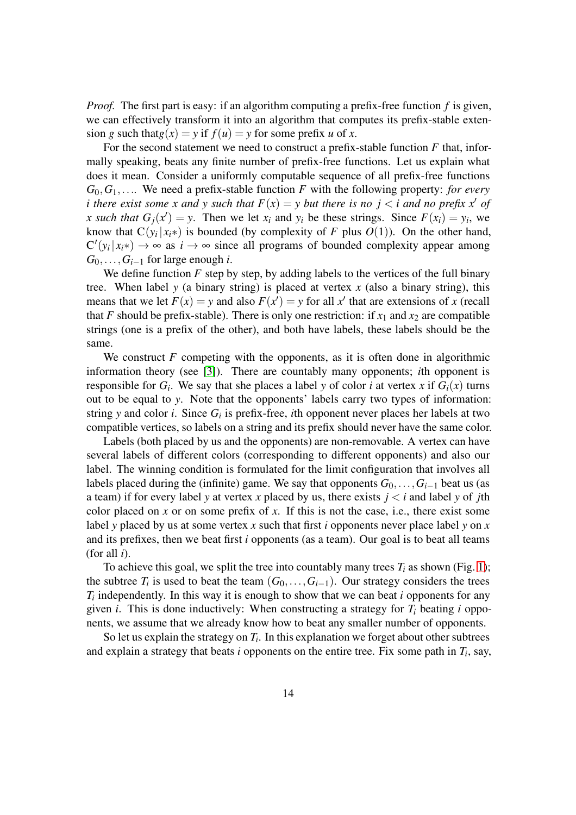*Proof.* The first part is easy: if an algorithm computing a prefix-free function *f* is given, we can effectively transform it into an algorithm that computes its prefix-stable extension *g* such that  $g(x) = y$  if  $f(u) = y$  for some prefix *u* of *x*.

For the second statement we need to construct a prefix-stable function *F* that, informally speaking, beats any finite number of prefix-free functions. Let us explain what does it mean. Consider a uniformly computable sequence of all prefix-free functions *G*0,*G*1,.... We need a prefix-stable function *F* with the following property: *for every i* there exist some x and y such that  $F(x) = y$  but there is no  $j < i$  and no prefix x' of *x* such that  $G_j(x') = y$ . Then we let  $x_i$  and  $y_i$  be these strings. Since  $F(x_i) = y_i$ , we know that  $C(y_i|x_i^*)$  is bounded (by complexity of *F* plus  $O(1)$ ). On the other hand,  $C'(y_i|x_i*) \to \infty$  as  $i \to \infty$  since all programs of bounded complexity appear among *G*0,...,*Gi*−<sup>1</sup> for large enough *i*.

We define function  $F$  step by step, by adding labels to the vertices of the full binary tree. When label  $y$  (a binary string) is placed at vertex  $x$  (also a binary string), this means that we let  $F(x) = y$  and also  $F(x') = y$  for all x' that are extensions of x (recall that *F* should be prefix-stable). There is only one restriction: if  $x_1$  and  $x_2$  are compatible strings (one is a prefix of the other), and both have labels, these labels should be the same.

We construct  $F$  competing with the opponents, as it is often done in algorithmic information theory (see [\[3\]](#page-22-1)). There are countably many opponents; *i*th opponent is responsible for  $G_i$ . We say that she places a label *y* of color *i* at vertex *x* if  $G_i(x)$  turns out to be equal to *y*. Note that the opponents' labels carry two types of information: string *y* and color *i*. Since  $G_i$  is prefix-free, *i*th opponent never places her labels at two compatible vertices, so labels on a string and its prefix should never have the same color.

Labels (both placed by us and the opponents) are non-removable. A vertex can have several labels of different colors (corresponding to different opponents) and also our label. The winning condition is formulated for the limit configuration that involves all labels placed during the (infinite) game. We say that opponents  $G_0, \ldots, G_{i-1}$  beat us (as a team) if for every label *y* at vertex *x* placed by us, there exists  $j < i$  and label *y* of *j*th color placed on *x* or on some prefix of *x*. If this is not the case, i.e., there exist some label *y* placed by us at some vertex *x* such that first *i* opponents never place label *y* on *x* and its prefixes, then we beat first *i* opponents (as a team). Our goal is to beat all teams (for all *i*).

To achieve this goal, we split the tree into countably many trees  $T_i$  as shown (Fig. [1\)](#page-14-0); the subtree  $T_i$  is used to beat the team  $(G_0, \ldots, G_{i-1})$ . Our strategy considers the trees *Ti* independently. In this way it is enough to show that we can beat *i* opponents for any given *i*. This is done inductively: When constructing a strategy for *T<sup>i</sup>* beating *i* opponents, we assume that we already know how to beat any smaller number of opponents.

So let us explain the strategy on  $T_i$ . In this explanation we forget about other subtrees and explain a strategy that beats *i* opponents on the entire tree. Fix some path in *T<sup>i</sup>* , say,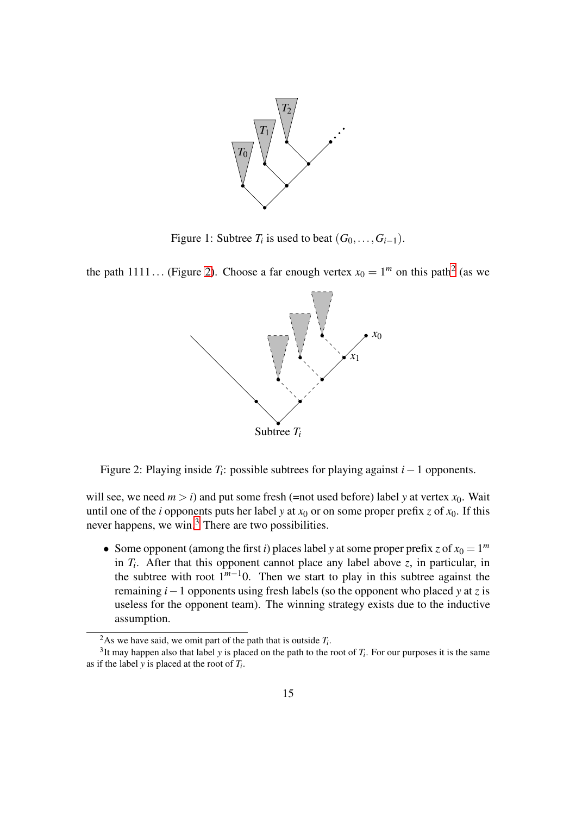

<span id="page-14-0"></span>Figure 1: Subtree  $T_i$  is used to beat  $(G_0, \ldots, G_{i-1})$ .

the path 1111... (Figure [2\)](#page-14-1). Choose a far enough vertex  $x_0 = 1^m$  on this path<sup>[2](#page-14-2)</sup> (as we



<span id="page-14-1"></span>Figure 2: Playing inside *T<sup>i</sup>* : possible subtrees for playing against *i*−1 opponents.

will see, we need  $m > i$ ) and put some fresh (=not used before) label *y* at vertex  $x_0$ . Wait until one of the *i* opponents puts her label *y* at  $x_0$  or on some proper prefix *z* of  $x_0$ . If this never happens, we win.<sup>[3](#page-14-3)</sup> There are two possibilities.

• Some opponent (among the first *i*) places label *y* at some proper prefix *z* of  $x_0 = 1^m$ in  $T_i$ . After that this opponent cannot place any label above  $z$ , in particular, in the subtree with root  $1^{m-1}0$ . Then we start to play in this subtree against the remaining *i*−1 opponents using fresh labels (so the opponent who placed *y* at *z* is useless for the opponent team). The winning strategy exists due to the inductive assumption.

<span id="page-14-2"></span><sup>&</sup>lt;sup>2</sup>As we have said, we omit part of the path that is outside  $T_i$ .

<span id="page-14-3"></span> $3$ It may happen also that label *y* is placed on the path to the root of  $T_i$ . For our purposes it is the same as if the label *y* is placed at the root of *T<sup>i</sup>* .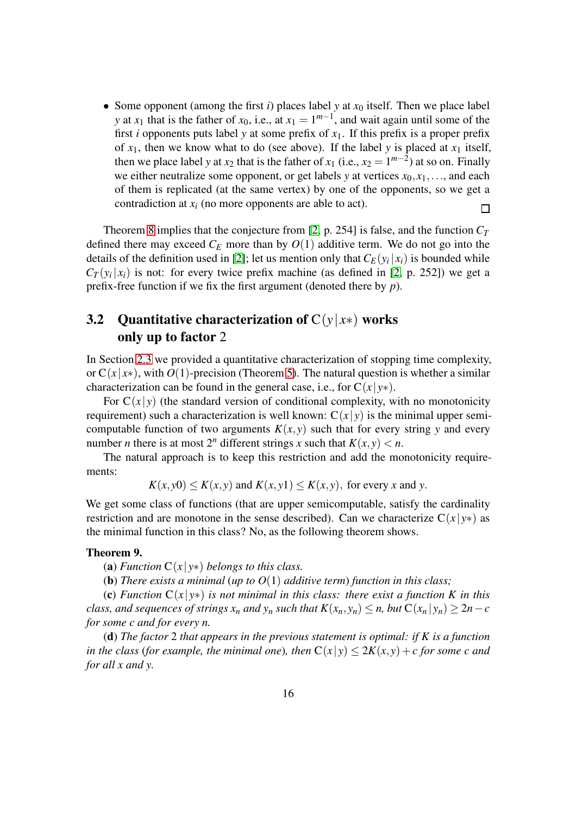• Some opponent (among the first  $i$ ) places label  $y$  at  $x_0$  itself. Then we place label *y* at *x*<sub>1</sub> that is the father of *x*<sub>0</sub>, i.e., at *x*<sub>1</sub> =  $1^{m-1}$ , and wait again until some of the first *i* opponents puts label *y* at some prefix of  $x_1$ . If this prefix is a proper prefix of  $x_1$ , then we know what to do (see above). If the label *y* is placed at  $x_1$  itself, then we place label *y* at  $x_2$  that is the father of  $x_1$  (i.e.,  $x_2 = 1^{m-2}$ ) at so on. Finally we either neutralize some opponent, or get labels *y* at vertices  $x_0, x_1, \ldots$ , and each of them is replicated (at the same vertex) by one of the opponents, so we get a contradiction at  $x_i$  (no more opponents are able to act). П

Theorem [8](#page-12-1) implies that the conjecture from [\[2,](#page-22-0) p. 254] is false, and the function  $C_T$ defined there may exceed  $C_E$  more than by  $O(1)$  additive term. We do not go into the details of the definition used in [\[2\]](#page-22-0); let us mention only that  $C_E(y_i|x_i)$  is bounded while  $C_T(y_i|x_i)$  is not: for every twice prefix machine (as defined in [\[2,](#page-22-0) p. 252]) we get a prefix-free function if we fix the first argument (denoted there by *p*).

### 3.2 Quantitative characterization of  $C(y|x*)$  works only up to factor 2

In Section [2.3](#page-6-0) we provided a quantitative characterization of stopping time complexity, or  $C(x|x*)$ , with  $O(1)$ -precision (Theorem [5\)](#page-7-1). The natural question is whether a similar characterization can be found in the general case, i.e., for  $C(x|y*)$ .

For  $C(x|y)$  (the standard version of conditional complexity, with no monotonicity requirement) such a characterization is well known:  $C(x|y)$  is the minimal upper semicomputable function of two arguments  $K(x, y)$  such that for every string y and every number *n* there is at most  $2^n$  different strings *x* such that  $K(x, y) < n$ .

The natural approach is to keep this restriction and add the monotonicity requirements:

$$
K(x, y0) \le K(x, y)
$$
 and  $K(x, y1) \le K(x, y)$ , for every x and y.

We get some class of functions (that are upper semicomputable, satisfy the cardinality restriction and are monotone in the sense described). Can we characterize  $C(x|y*)$  as the minimal function in this class? No, as the following theorem shows.

#### <span id="page-15-0"></span>Theorem 9.

(a) *Function*  $C(x|y*)$  *belongs to this class.* 

(b) *There exists a minimal* (*up to O*(1) *additive term*) *function in this class;*

(c) *Function* C(*x*| *y*∗) *is not minimal in this class: there exist a function K in this class, and sequences of strings*  $x_n$  *<i>and*  $y_n$  *such that*  $K(x_n, y_n) \leq n$ *, but*  $C(x_n | y_n) \geq 2n - c$ *for some c and for every n.*

(d) *The factor* 2 *that appears in the previous statement is optimal: if K is a function in the class (for example, the minimal one), then*  $C(x|y) \le 2K(x, y) + c$  *for some c and for all x and y.*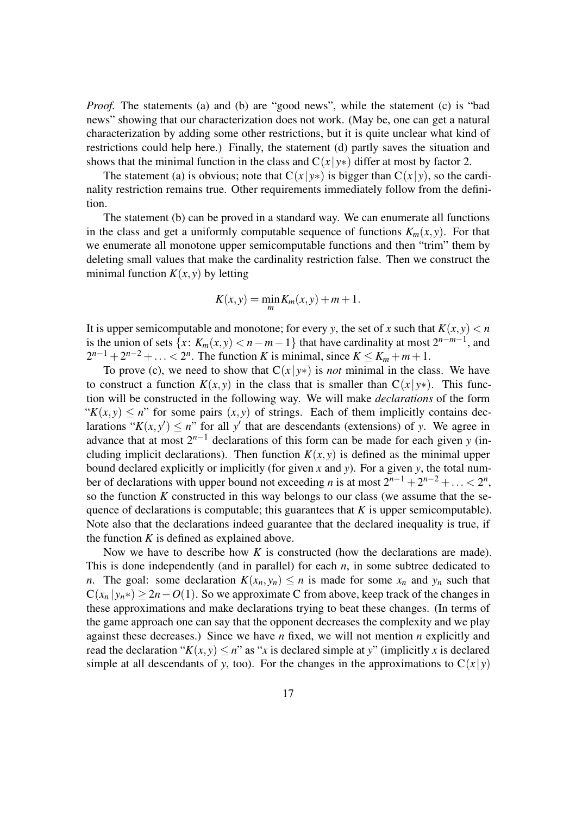*Proof.* The statements (a) and (b) are "good news", while the statement (c) is "bad news" showing that our characterization does not work. (May be, one can get a natural characterization by adding some other restrictions, but it is quite unclear what kind of restrictions could help here.) Finally, the statement (d) partly saves the situation and shows that the minimal function in the class and  $C(x|y*)$  differ at most by factor 2.

The statement (a) is obvious; note that  $C(x|y*)$  is bigger than  $C(x|y)$ , so the cardinality restriction remains true. Other requirements immediately follow from the definition.

The statement (b) can be proved in a standard way. We can enumerate all functions in the class and get a uniformly computable sequence of functions  $K_m(x, y)$ . For that we enumerate all monotone upper semicomputable functions and then "trim" them by deleting small values that make the cardinality restriction false. Then we construct the minimal function  $K(x, y)$  by letting

$$
K(x, y) = \min_{m} K_m(x, y) + m + 1.
$$

It is upper semicomputable and monotone; for every *y*, the set of *x* such that  $K(x, y) < n$ is the union of sets  $\{x: K_m(x, y) < n - m - 1\}$  that have cardinality at most  $2^{n-m-1}$ , and  $2^{n-1} + 2^{n-2} + \ldots < 2^n$ . The function *K* is minimal, since  $K \le K_m + m + 1$ .

To prove (c), we need to show that  $C(x|y*)$  is *not* minimal in the class. We have to construct a function  $K(x, y)$  in the class that is smaller than  $C(x|y*)$ . This function will be constructed in the following way. We will make *declarations* of the form " $K(x, y) \leq n$ " for some pairs  $(x, y)$  of strings. Each of them implicitly contains declarations " $K(x, y') \leq n$ " for all y' that are descendants (extensions) of y. We agree in advance that at most  $2^{n-1}$  declarations of this form can be made for each given *y* (including implicit declarations). Then function  $K(x, y)$  is defined as the minimal upper bound declared explicitly or implicitly (for given *x* and *y*). For a given *y*, the total number of declarations with upper bound not exceeding *n* is at most  $2^{n-1} + 2^{n-2} + ... < 2^n$ , so the function *K* constructed in this way belongs to our class (we assume that the sequence of declarations is computable; this guarantees that *K* is upper semicomputable). Note also that the declarations indeed guarantee that the declared inequality is true, if the function  $K$  is defined as explained above.

Now we have to describe how *K* is constructed (how the declarations are made). This is done independently (and in parallel) for each *n*, in some subtree dedicated to *n*. The goal: some declaration  $K(x_n, y_n) \leq n$  is made for some  $x_n$  and  $y_n$  such that  $C(x_n | y_n*) \ge 2n - O(1)$ . So we approximate C from above, keep track of the changes in these approximations and make declarations trying to beat these changes. (In terms of the game approach one can say that the opponent decreases the complexity and we play against these decreases.) Since we have *n* fixed, we will not mention *n* explicitly and read the declaration " $K(x, y) \leq n$ " as "*x* is declared simple at *y*" (implicitly *x* is declared simple at all descendants of *y*, too). For the changes in the approximations to  $C(x|y)$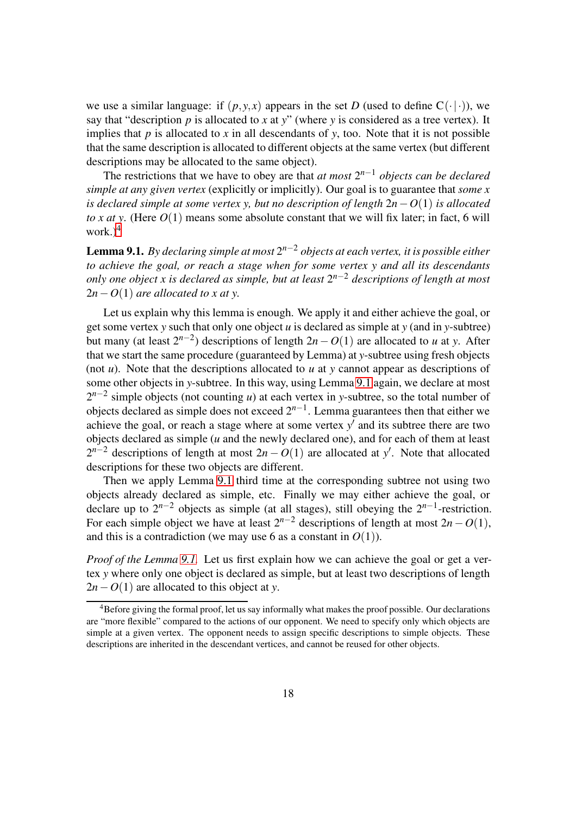we use a similar language: if  $(p, y, x)$  appears in the set *D* (used to define  $C(\cdot | \cdot)$ ), we say that "description *p* is allocated to *x* at *y*" (where *y* is considered as a tree vertex). It implies that  $p$  is allocated to  $x$  in all descendants of  $y$ , too. Note that it is not possible that the same description is allocated to different objects at the same vertex (but different descriptions may be allocated to the same object).

The restrictions that we have to obey are that *at most* 2 *<sup>n</sup>*−<sup>1</sup> *objects can be declared simple at any given vertex* (explicitly or implicitly). Our goal is to guarantee that *some x is declared simple at some vertex y, but no description of length* 2*n*−*O*(1) *is allocated to x at y.* (Here  $O(1)$  means some absolute constant that we will fix later; in fact, 6 will work. $)^4$  $)^4$ 

<span id="page-17-1"></span>Lemma 9.1. *By declaring simple at most* 2 *<sup>n</sup>*−<sup>2</sup> *objects at each vertex, it is possible either to achieve the goal, or reach a stage when for some vertex y and all its descendants only one object x is declared as simple, but at least* 2 *<sup>n</sup>*−<sup>2</sup> *descriptions of length at most*  $2n-O(1)$  *are allocated to x at y.* 

Let us explain why this lemma is enough. We apply it and either achieve the goal, or get some vertex *y* such that only one object *u* is declared as simple at *y* (and in *y*-subtree) but many (at least  $2^{n-2}$ ) descriptions of length  $2n - O(1)$  are allocated to *u* at *y*. After that we start the same procedure (guaranteed by Lemma) at *y*-subtree using fresh objects (not *u*). Note that the descriptions allocated to *u* at *y* cannot appear as descriptions of some other objects in *y*-subtree. In this way, using Lemma [9.1](#page-17-1) again, we declare at most 2<sup>*n*−2</sup> simple objects (not counting *u*) at each vertex in *y*-subtree, so the total number of objects declared as simple does not exceed 2*n*−<sup>1</sup> . Lemma guarantees then that either we achieve the goal, or reach a stage where at some vertex  $y'$  and its subtree there are two objects declared as simple (*u* and the newly declared one), and for each of them at least  $2^{n-2}$  descriptions of length at most  $2n - O(1)$  are allocated at *y*'. Note that allocated descriptions for these two objects are different.

Then we apply Lemma [9.1](#page-17-1) third time at the corresponding subtree not using two objects already declared as simple, etc. Finally we may either achieve the goal, or declare up to  $2^{n-2}$  objects as simple (at all stages), still obeying the  $2^{n-1}$ -restriction. For each simple object we have at least  $2^{n-2}$  descriptions of length at most  $2n - O(1)$ , and this is a contradiction (we may use 6 as a constant in  $O(1)$ ).

*Proof of the Lemma [9.1.](#page-17-1)* Let us first explain how we can achieve the goal or get a vertex *y* where only one object is declared as simple, but at least two descriptions of length 2*n*−*O*(1) are allocated to this object at *y*.

<span id="page-17-0"></span><sup>&</sup>lt;sup>4</sup>Before giving the formal proof, let us say informally what makes the proof possible. Our declarations are "more flexible" compared to the actions of our opponent. We need to specify only which objects are simple at a given vertex. The opponent needs to assign specific descriptions to simple objects. These descriptions are inherited in the descendant vertices, and cannot be reused for other objects.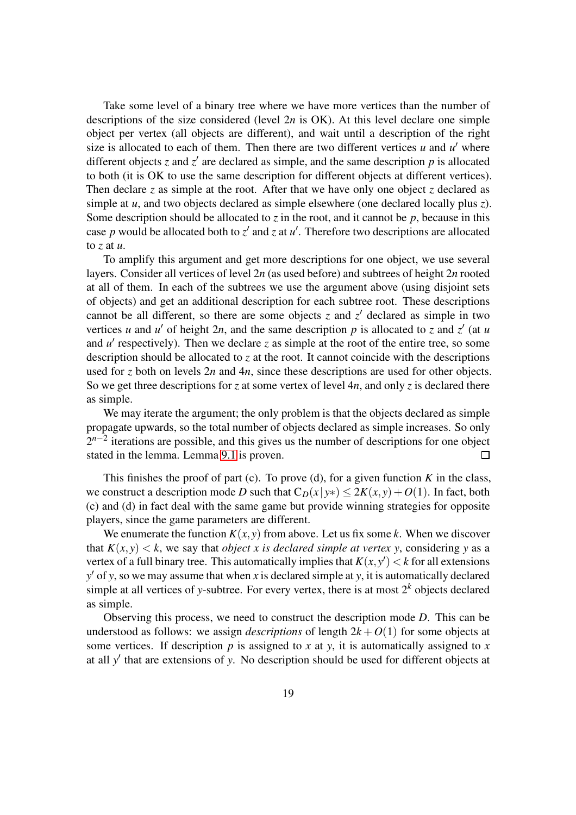Take some level of a binary tree where we have more vertices than the number of descriptions of the size considered (level 2*n* is OK). At this level declare one simple object per vertex (all objects are different), and wait until a description of the right size is allocated to each of them. Then there are two different vertices  $u$  and  $u'$  where different objects  $z$  and  $z'$  are declared as simple, and the same description  $p$  is allocated to both (it is OK to use the same description for different objects at different vertices). Then declare *z* as simple at the root. After that we have only one object *z* declared as simple at *u*, and two objects declared as simple elsewhere (one declared locally plus *z*). Some description should be allocated to  $\zeta$  in the root, and it cannot be  $p$ , because in this case p would be allocated both to  $z'$  and  $z$  at  $u'$ . Therefore two descriptions are allocated to *z* at *u*.

To amplify this argument and get more descriptions for one object, we use several layers. Consider all vertices of level 2*n* (as used before) and subtrees of height 2*n* rooted at all of them. In each of the subtrees we use the argument above (using disjoint sets of objects) and get an additional description for each subtree root. These descriptions cannot be all different, so there are some objects  $z$  and  $z'$  declared as simple in two vertices *u* and *u'* of height 2*n*, and the same description *p* is allocated to *z* and  $z'$  (at *u* and  $u'$  respectively). Then we declare  $z$  as simple at the root of the entire tree, so some description should be allocated to *z* at the root. It cannot coincide with the descriptions used for *z* both on levels 2*n* and 4*n*, since these descriptions are used for other objects. So we get three descriptions for *z* at some vertex of level 4*n*, and only *z* is declared there as simple.

We may iterate the argument; the only problem is that the objects declared as simple propagate upwards, so the total number of objects declared as simple increases. So only 2<sup>*n*−2</sup> iterations are possible, and this gives us the number of descriptions for one object stated in the lemma. Lemma [9.1](#page-17-1) is proven.  $\Box$ 

This finishes the proof of part (c). To prove (d), for a given function  $K$  in the class, we construct a description mode *D* such that  $C_D(x|y*) < 2K(x, y) + O(1)$ . In fact, both (c) and (d) in fact deal with the same game but provide winning strategies for opposite players, since the game parameters are different.

We enumerate the function  $K(x, y)$  from above. Let us fix some *k*. When we discover that  $K(x, y) < k$ , we say that *object x is declared simple at vertex y*, considering y as a vertex of a full binary tree. This automatically implies that  $K(x, y') < k$  for all extensions *y* ′ of *y*, so we may assume that when *x* is declared simple at *y*, it is automatically declared simple at all vertices of *y*-subtree. For every vertex, there is at most  $2^k$  objects declared as simple.

Observing this process, we need to construct the description mode *D*. This can be understood as follows: we assign *descriptions* of length  $2k + O(1)$  for some objects at some vertices. If description  $p$  is assigned to  $x$  at  $y$ , it is automatically assigned to  $x$ at all *y* ′ that are extensions of *y*. No description should be used for different objects at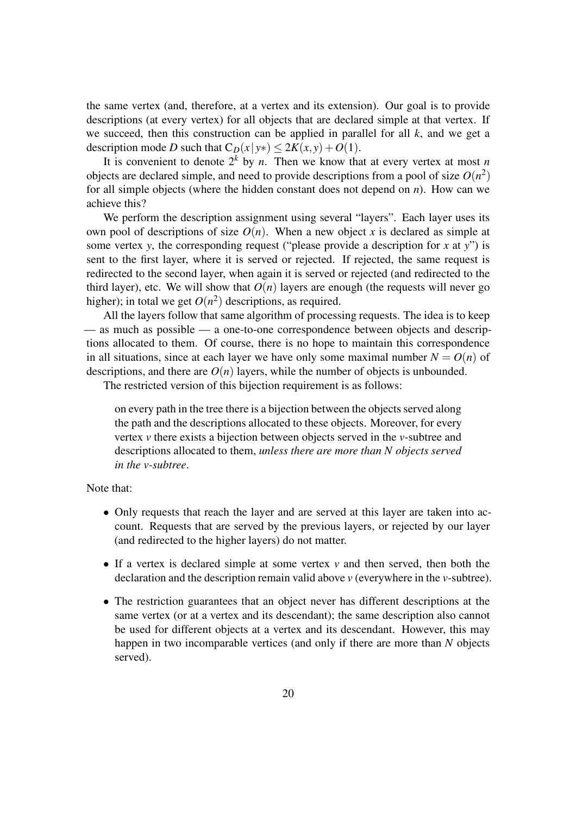the same vertex (and, therefore, at a vertex and its extension). Our goal is to provide descriptions (at every vertex) for all objects that are declared simple at that vertex. If we succeed, then this construction can be applied in parallel for all *k*, and we get a description mode *D* such that  $C_D(x|y*) \leq 2K(x, y) + O(1)$ .

It is convenient to denote  $2^k$  by *n*. Then we know that at every vertex at most *n* objects are declared simple, and need to provide descriptions from a pool of size  $O(n^2)$ for all simple objects (where the hidden constant does not depend on *n*). How can we achieve this?

We perform the description assignment using several "layers". Each layer uses its own pool of descriptions of size  $O(n)$ . When a new object *x* is declared as simple at some vertex *y*, the corresponding request ("please provide a description for *x* at *y*") is sent to the first layer, where it is served or rejected. If rejected, the same request is redirected to the second layer, when again it is served or rejected (and redirected to the third layer), etc. We will show that  $O(n)$  layers are enough (the requests will never go higher); in total we get  $O(n^2)$  descriptions, as required.

All the layers follow that same algorithm of processing requests. The idea is to keep — as much as possible — a one-to-one correspondence between objects and descriptions allocated to them. Of course, there is no hope to maintain this correspondence in all situations, since at each layer we have only some maximal number  $N = O(n)$  of descriptions, and there are  $O(n)$  layers, while the number of objects is unbounded.

The restricted version of this bijection requirement is as follows:

on every path in the tree there is a bijection between the objects served along the path and the descriptions allocated to these objects. Moreover, for every vertex *v* there exists a bijection between objects served in the *v*-subtree and descriptions allocated to them, *unless there are more than N objects served in the v-subtree*.

Note that:

- Only requests that reach the layer and are served at this layer are taken into account. Requests that are served by the previous layers, or rejected by our layer (and redirected to the higher layers) do not matter.
- If a vertex is declared simple at some vertex *v* and then served, then both the declaration and the description remain valid above *v* (everywhere in the *v*-subtree).
- The restriction guarantees that an object never has different descriptions at the same vertex (or at a vertex and its descendant); the same description also cannot be used for different objects at a vertex and its descendant. However, this may happen in two incomparable vertices (and only if there are more than *N* objects served).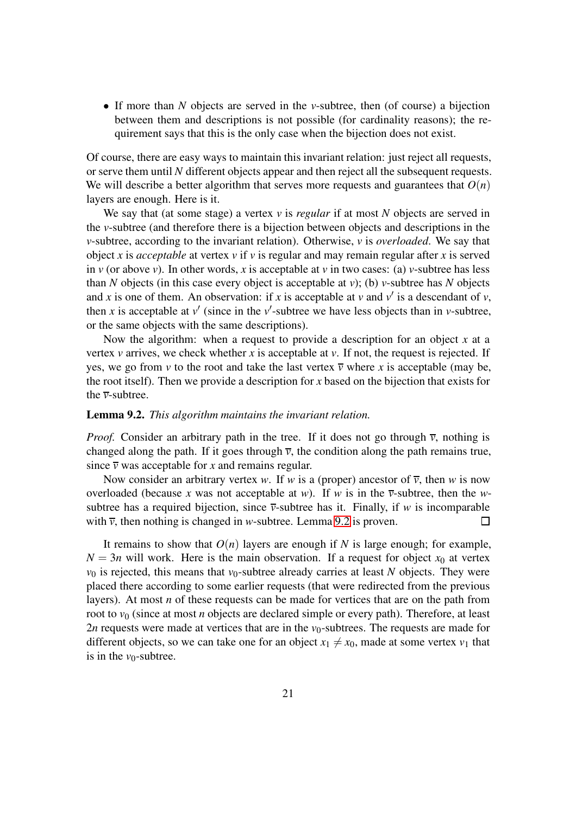• If more than *N* objects are served in the *v*-subtree, then (of course) a bijection between them and descriptions is not possible (for cardinality reasons); the requirement says that this is the only case when the bijection does not exist.

Of course, there are easy ways to maintain this invariant relation: just reject all requests, or serve them until *N* different objects appear and then reject all the subsequent requests. We will describe a better algorithm that serves more requests and guarantees that  $O(n)$ layers are enough. Here is it.

We say that (at some stage) a vertex *v* is *regular* if at most *N* objects are served in the *v*-subtree (and therefore there is a bijection between objects and descriptions in the *v*-subtree, according to the invariant relation). Otherwise, *v* is *overloaded*. We say that object *x* is *acceptable* at vertex *v* if *v* is regular and may remain regular after *x* is served in *v* (or above *v*). In other words, *x* is acceptable at *v* in two cases: (a) *v*-subtree has less than *N* objects (in this case every object is acceptable at *v*); (b) *v*-subtree has *N* objects and *x* is one of them. An observation: if *x* is acceptable at *v* and  $v'$  is a descendant of *v*, then *x* is acceptable at  $v'$  (since in the  $v'$ -subtree we have less objects than in *v*-subtree, or the same objects with the same descriptions).

Now the algorithm: when a request to provide a description for an object *x* at a vertex  $\nu$  arrives, we check whether  $x$  is acceptable at  $\nu$ . If not, the request is rejected. If yes, we go from *v* to the root and take the last vertex  $\overline{v}$  where *x* is acceptable (may be, the root itself). Then we provide a description for *x* based on the bijection that exists for the *v*-subtree.

#### <span id="page-20-0"></span>Lemma 9.2. *This algorithm maintains the invariant relation.*

*Proof.* Consider an arbitrary path in the tree. If it does not go through  $\bar{v}$ , nothing is changed along the path. If it goes through  $\overline{v}$ , the condition along the path remains true, since  $\overline{v}$  was acceptable for *x* and remains regular.

Now consider an arbitrary vertex *w*. If *w* is a (proper) ancestor of  $\overline{v}$ , then *w* is now overloaded (because *x* was not acceptable at *w*). If *w* is in the  $\overline{v}$ -subtree, then the *w*subtree has a required bijection, since  $\overline{v}$ -subtree has it. Finally, if *w* is incomparable with  $\bar{v}$ , then nothing is changed in *w*-subtree. Lemma [9.2](#page-20-0) is proven. П

It remains to show that  $O(n)$  layers are enough if *N* is large enough; for example,  $N = 3n$  will work. Here is the main observation. If a request for object  $x_0$  at vertex  $v_0$  is rejected, this means that  $v_0$ -subtree already carries at least *N* objects. They were placed there according to some earlier requests (that were redirected from the previous layers). At most *n* of these requests can be made for vertices that are on the path from root to  $v_0$  (since at most *n* objects are declared simple or every path). Therefore, at least 2*n* requests were made at vertices that are in the  $v_0$ -subtrees. The requests are made for different objects, so we can take one for an object  $x_1 \neq x_0$ , made at some vertex  $v_1$  that is in the  $v_0$ -subtree.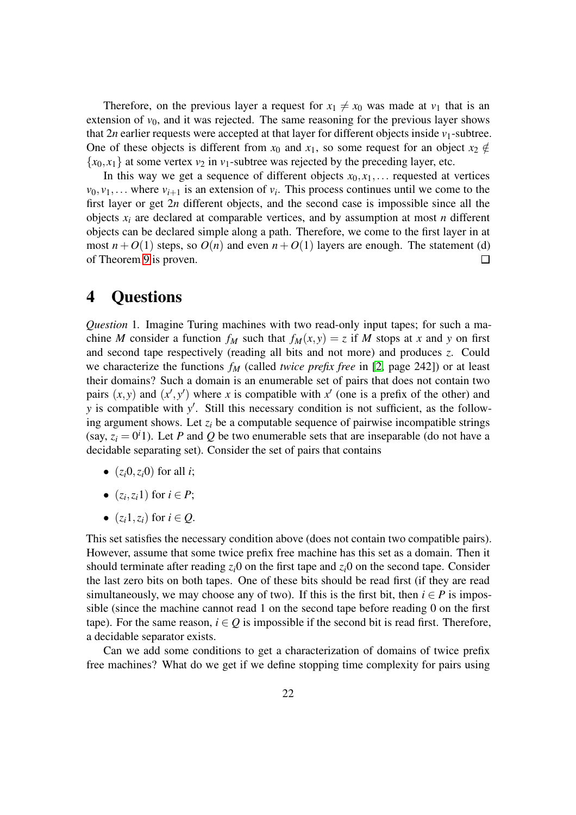Therefore, on the previous layer a request for  $x_1 \neq x_0$  was made at  $v_1$  that is an extension of  $v_0$ , and it was rejected. The same reasoning for the previous layer shows that  $2n$  earlier requests were accepted at that layer for different objects inside  $v_1$ -subtree. One of these objects is different from  $x_0$  and  $x_1$ , so some request for an object  $x_2 \notin$  ${x_0, x_1}$  at some vertex  $v_2$  in  $v_1$ -subtree was rejected by the preceding layer, etc.

In this way we get a sequence of different objects  $x_0, x_1, \ldots$  requested at vertices  $v_0, v_1, \ldots$  where  $v_{i+1}$  is an extension of  $v_i$ . This process continues until we come to the first layer or get 2*n* different objects, and the second case is impossible since all the objects  $x_i$  are declared at comparable vertices, and by assumption at most *n* different objects can be declared simple along a path. Therefore, we come to the first layer in at most  $n + O(1)$  steps, so  $O(n)$  and even  $n + O(1)$  layers are enough. The statement (d) of Theorem [9](#page-15-0) is proven.  $\Box$ 

## 4 Questions

*Question* 1. Imagine Turing machines with two read-only input tapes; for such a machine *M* consider a function  $f_M$  such that  $f_M(x, y) = z$  if *M* stops at *x* and *y* on first and second tape respectively (reading all bits and not more) and produces *z*. Could we characterize the functions *f<sup>M</sup>* (called *twice prefix free* in [\[2,](#page-22-0) page 242]) or at least their domains? Such a domain is an enumerable set of pairs that does not contain two pairs  $(x, y)$  and  $(x', y')$  where *x* is compatible with  $x'$  (one is a prefix of the other) and *y* is compatible with *y*<sup>'</sup>. Still this necessary condition is not sufficient, as the following argument shows. Let  $z_i$  be a computable sequence of pairwise incompatible strings (say,  $z_i = 0^i$ 1). Let *P* and *Q* be two enumerable sets that are inseparable (do not have a decidable separating set). Consider the set of pairs that contains

- $(z_i, 0, z_i, 0)$  for all *i*;
- $(z_i, z_i 1)$  for  $i \in P$ ;
- $(z_i 1, z_i)$  for  $i \in Q$ .

This set satisfies the necessary condition above (does not contain two compatible pairs). However, assume that some twice prefix free machine has this set as a domain. Then it should terminate after reading  $z_i$ <sup>0</sup> on the first tape and  $z_i$ <sup>0</sup> on the second tape. Consider the last zero bits on both tapes. One of these bits should be read first (if they are read simultaneously, we may choose any of two). If this is the first bit, then  $i \in P$  is impossible (since the machine cannot read 1 on the second tape before reading 0 on the first tape). For the same reason,  $i \in Q$  is impossible if the second bit is read first. Therefore, a decidable separator exists.

Can we add some conditions to get a characterization of domains of twice prefix free machines? What do we get if we define stopping time complexity for pairs using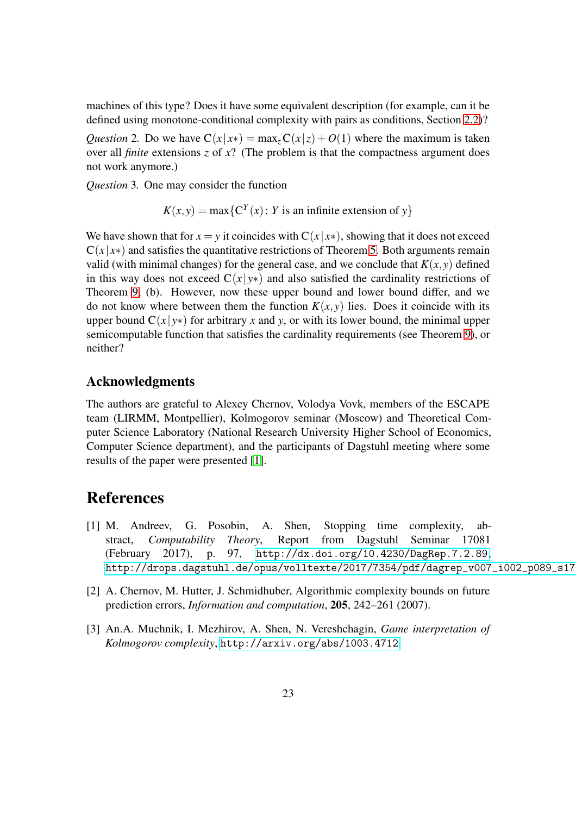machines of this type? Does it have some equivalent description (for example, can it be defined using monotone-conditional complexity with pairs as conditions, Section [2.2\)](#page-3-0)?

*Question* 2. Do we have  $C(x|x) = max_z C(x|z) + O(1)$  where the maximum is taken over all *finite* extensions *z* of *x*? (The problem is that the compactness argument does not work anymore.)

*Question* 3*.* One may consider the function

$$
K(x, y) = \max\{C^{Y}(x) : Y \text{ is an infinite extension of } y\}
$$

We have shown that for  $x = y$  it coincides with  $C(x|x*)$ , showing that it does not exceed  $C(x|x*)$  and satisfies the quantitative restrictions of Theorem [5.](#page-7-1) Both arguments remain valid (with minimal changes) for the general case, and we conclude that  $K(x, y)$  defined in this way does not exceed  $C(x|y*)$  and also satisfied the cardinality restrictions of Theorem [9,](#page-15-0) (b). However, now these upper bound and lower bound differ, and we do not know where between them the function  $K(x, y)$  lies. Does it coincide with its upper bound  $C(x|y*)$  for arbitrary x and y, or with its lower bound, the minimal upper semicomputable function that satisfies the cardinality requirements (see Theorem [9\)](#page-15-0), or neither?

### Acknowledgments

The authors are grateful to Alexey Chernov, Volodya Vovk, members of the ESCAPE team (LIRMM, Montpellier), Kolmogorov seminar (Moscow) and Theoretical Computer Science Laboratory (National Research University Higher School of Economics, Computer Science department), and the participants of Dagstuhl meeting where some results of the paper were presented [\[1\]](#page-22-2).

# <span id="page-22-2"></span>References

- [1] M. Andreev, G. Posobin, A. Shen, Stopping time complexity, abstract, *Computability Theory*, Report from Dagstuhl Seminar 17081 (February 2017), p. 97, <http://dx.doi.org/10.4230/DagRep.7.2.89>, http://drops.dagstuhl.de/opus/volltexte/2017/7354/pdf/dagrep\_v007\_i002\_p089\_s17
- <span id="page-22-0"></span>[2] A. Chernov, M. Hutter, J. Schmidhuber, Algorithmic complexity bounds on future prediction errors, *Information and computation*, 205, 242–261 (2007).
- <span id="page-22-1"></span>[3] An.A. Muchnik, I. Mezhirov, A. Shen, N. Vereshchagin, *Game interpretation of Kolmogorov complexity*, <http://arxiv.org/abs/1003.4712>